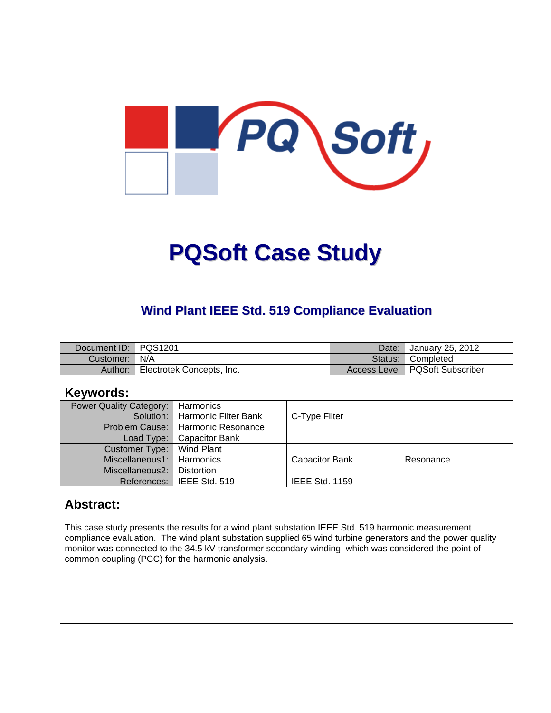

# **PQSoft Case Study**

## **Wind Plant IEEE Std. 519 Compliance Evaluation**

| Document ID:   PQS1201 |                           | Date: | January 25, 2012                 |
|------------------------|---------------------------|-------|----------------------------------|
| Customer:   N/A        |                           |       | Status: Completed                |
| Author:                | Electrotek Concepts, Inc. |       | Access Level   PQSoft Subscriber |

#### **Keywords:**

| <b>Power Quality Category:</b> | Harmonics                           |                       |           |
|--------------------------------|-------------------------------------|-----------------------|-----------|
|                                | Solution:   Harmonic Filter Bank    | C-Type Filter         |           |
|                                | Problem Cause:   Harmonic Resonance |                       |           |
| Load Type:                     | Capacitor Bank                      |                       |           |
| Customer Type:                 | Wind Plant                          |                       |           |
| Miscellaneous1:   Harmonics    |                                     | <b>Capacitor Bank</b> | Resonance |
| Miscellaneous2:                | <b>Distortion</b>                   |                       |           |
|                                | References: I IEEE Std. 519         | <b>IEEE Std. 1159</b> |           |

#### **Abstract:**

This case study presents the results for a wind plant substation IEEE Std. 519 harmonic measurement compliance evaluation. The wind plant substation supplied 65 wind turbine generators and the power quality monitor was connected to the 34.5 kV transformer secondary winding, which was considered the point of common coupling (PCC) for the harmonic analysis.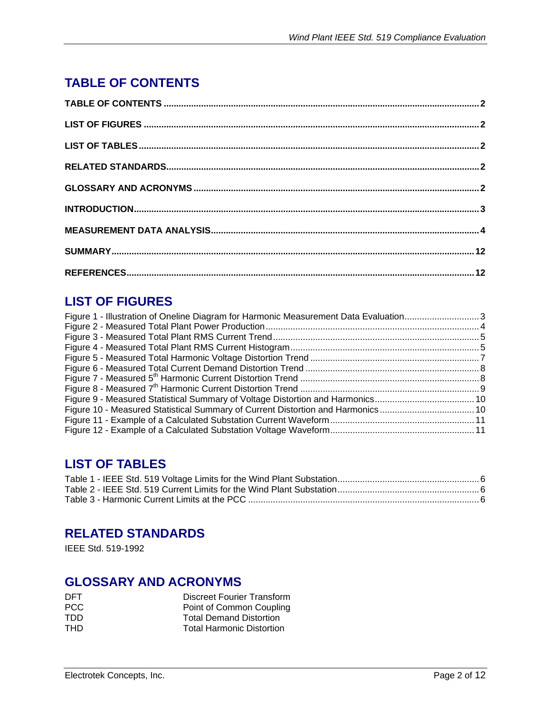# **TABLE OF CONTENTS**

# **LIST OF FIGURES**

| Figure 1 - Illustration of Oneline Diagram for Harmonic Measurement Data Evaluation3 |  |
|--------------------------------------------------------------------------------------|--|
|                                                                                      |  |
|                                                                                      |  |
|                                                                                      |  |
|                                                                                      |  |
|                                                                                      |  |
|                                                                                      |  |
|                                                                                      |  |
|                                                                                      |  |
| Figure 10 - Measured Statistical Summary of Current Distortion and Harmonics10       |  |
|                                                                                      |  |
|                                                                                      |  |

# **LIST OF TABLES**

### **RELATED STANDARDS**

IEEE Std. 519-1992

## **GLOSSARY AND ACRONYMS**

| DET. | Discreet Fourier Transform       |
|------|----------------------------------|
| PCC. | Point of Common Coupling         |
| TDD  | <b>Total Demand Distortion</b>   |
| THD. | <b>Total Harmonic Distortion</b> |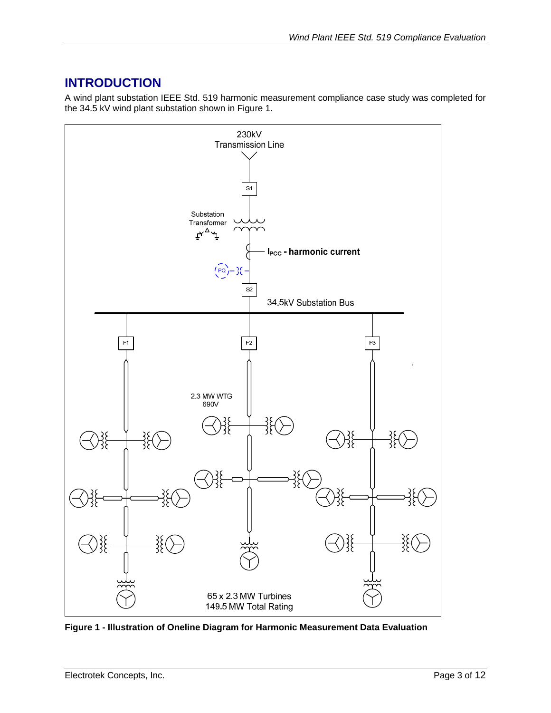# **INTRODUCTION**

A wind plant substation IEEE Std. 519 harmonic measurement compliance case study was completed for the 34.5 kV wind plant substation shown in Figure 1.



**Figure 1 - Illustration of Oneline Diagram for Harmonic Measurement Data Evaluation**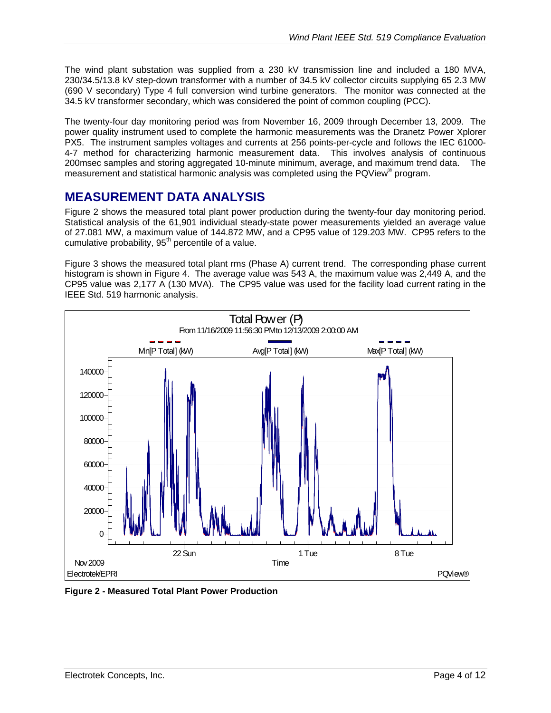The wind plant substation was supplied from a 230 kV transmission line and included a 180 MVA, 230/34.5/13.8 kV step-down transformer with a number of 34.5 kV collector circuits supplying 65 2.3 MW (690 V secondary) Type 4 full conversion wind turbine generators. The monitor was connected at the 34.5 kV transformer secondary, which was considered the point of common coupling (PCC).

The twenty-four day monitoring period was from November 16, 2009 through December 13, 2009. The power quality instrument used to complete the harmonic measurements was the Dranetz Power Xplorer PX5. The instrument samples voltages and currents at 256 points-per-cycle and follows the IEC 61000- 4-7 method for characterizing harmonic measurement data. This involves analysis of continuous 200msec samples and storing aggregated 10-minute minimum, average, and maximum trend data. The measurement and statistical harmonic analysis was completed using the PQView® program.

#### **MEASUREMENT DATA ANALYSIS**

Figure 2 shows the measured total plant power production during the twenty-four day monitoring period. Statistical analysis of the 61,901 individual steady-state power measurements yielded an average value of 27.081 MW, a maximum value of 144.872 MW, and a CP95 value of 129.203 MW. CP95 refers to the cumulative probability,  $95<sup>th</sup>$  percentile of a value.

Figure 3 shows the measured total plant rms (Phase A) current trend. The corresponding phase current histogram is shown in Figure 4. The average value was 543 A, the maximum value was 2,449 A, and the CP95 value was 2,177 A (130 MVA). The CP95 value was used for the facility load current rating in the IEEE Std. 519 harmonic analysis.



**Figure 2 - Measured Total Plant Power Production**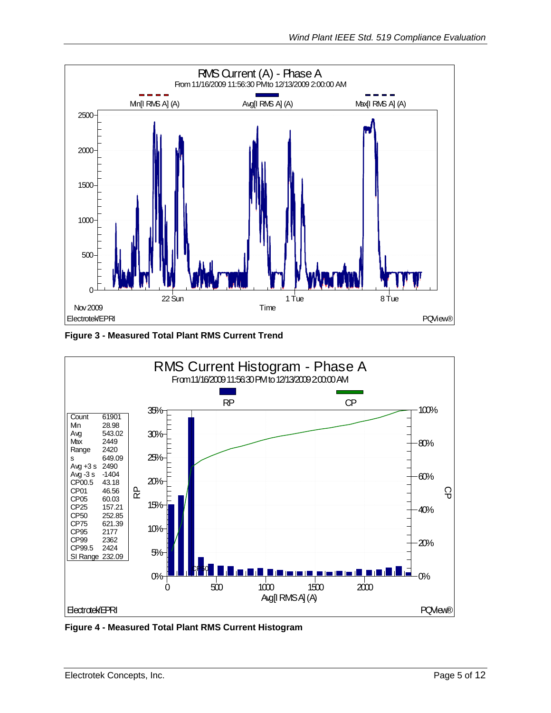

**Figure 3 - Measured Total Plant RMS Current Trend** 



**Figure 4 - Measured Total Plant RMS Current Histogram**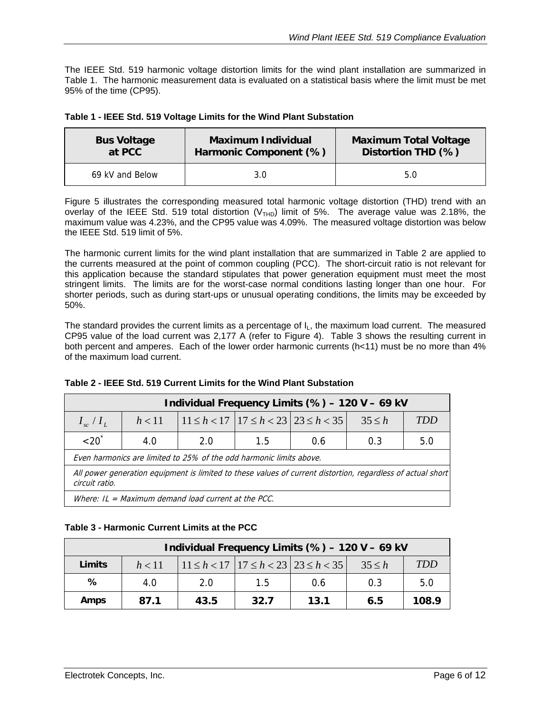The IEEE Std. 519 harmonic voltage distortion limits for the wind plant installation are summarized in Table 1. The harmonic measurement data is evaluated on a statistical basis where the limit must be met 95% of the time (CP95).

|  |  |  | Table 1 - IEEE Std. 519 Voltage Limits for the Wind Plant Substation |  |  |
|--|--|--|----------------------------------------------------------------------|--|--|
|--|--|--|----------------------------------------------------------------------|--|--|

| <b>Bus Voltage</b> | <b>Maximum Individual</b> | <b>Maximum Total Voltage</b> |  |
|--------------------|---------------------------|------------------------------|--|
| at PCC             | Harmonic Component (%)    | Distortion THD (%)           |  |
| 69 kV and Below    | 3.0                       | 5.0                          |  |

Figure 5 illustrates the corresponding measured total harmonic voltage distortion (THD) trend with an overlay of the IEEE Std. 519 total distortion ( $V<sub>THD</sub>$ ) limit of 5%. The average value was 2.18%, the maximum value was 4.23%, and the CP95 value was 4.09%. The measured voltage distortion was below the IEEE Std. 519 limit of 5%.

The harmonic current limits for the wind plant installation that are summarized in Table 2 are applied to the currents measured at the point of common coupling (PCC). The short-circuit ratio is not relevant for this application because the standard stipulates that power generation equipment must meet the most stringent limits. The limits are for the worst-case normal conditions lasting longer than one hour. For shorter periods, such as during start-ups or unusual operating conditions, the limits may be exceeded by 50%.

The standard provides the current limits as a percentage of  $I_L$ , the maximum load current. The measured CP95 value of the load current was 2,177 A (refer to Figure 4). Table 3 shows the resulting current in both percent and amperes. Each of the lower order harmonic currents (h<11) must be no more than 4% of the maximum load current.

| Individual Frequency Limits (%) - 120 V - 69 kV                                                                               |        |     |     |                                                 |        |     |  |
|-------------------------------------------------------------------------------------------------------------------------------|--------|-----|-----|-------------------------------------------------|--------|-----|--|
| $I_{sc}/I_L$                                                                                                                  | h < 11 |     |     | $11 \le h < 17$ $17 \le h < 23$ $23 \le h < 35$ | 35 < h | TDD |  |
| $< 20^{\degree}$                                                                                                              | 4.0    | 2.0 | 1.5 | 0.6                                             | 0.3    | 5.0 |  |
| Even harmonics are limited to 25% of the odd harmonic limits above.                                                           |        |     |     |                                                 |        |     |  |
| All power generation equipment is limited to these values of current distortion, regardless of actual short<br>circuit ratio. |        |     |     |                                                 |        |     |  |
| Where: $IL = Maximum$ demand load current at the PCC.                                                                         |        |     |     |                                                 |        |     |  |

#### **Table 2 - IEEE Std. 519 Current Limits for the Wind Plant Substation**

#### **Table 3 - Harmonic Current Limits at the PCC**

| Individual Frequency Limits (%) - 120 V - 69 kV |        |      |      |                                                     |             |            |  |
|-------------------------------------------------|--------|------|------|-----------------------------------------------------|-------------|------------|--|
| Limits                                          | h < 11 |      |      | $11 \le h < 17$   $17 \le h < 23$   $23 \le h < 35$ | $35 \leq h$ | <b>TDD</b> |  |
| %                                               | 4.0    | 2.0  | 1.5  | 0.6                                                 | 0.3         | 5.0        |  |
| Amps                                            | 87.1   | 43.5 | 32.7 | 13.1                                                | 6.5         | 108.9      |  |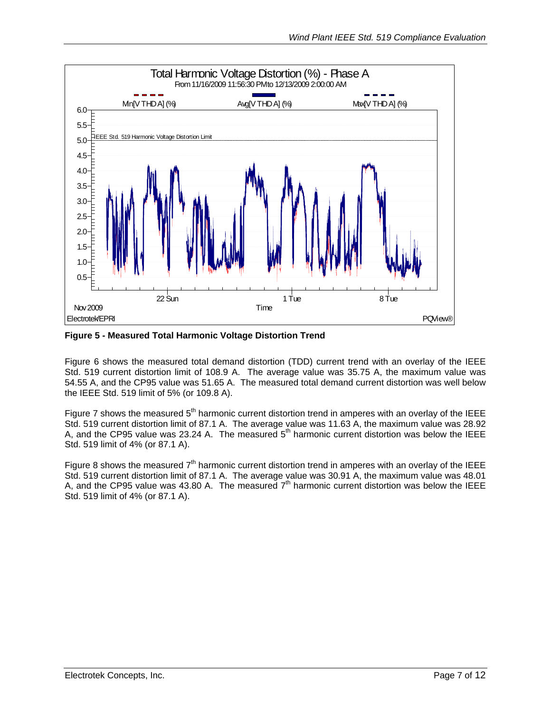

**Figure 5 - Measured Total Harmonic Voltage Distortion Trend** 

Figure 6 shows the measured total demand distortion (TDD) current trend with an overlay of the IEEE Std. 519 current distortion limit of 108.9 A. The average value was 35.75 A, the maximum value was 54.55 A, and the CP95 value was 51.65 A. The measured total demand current distortion was well below the IEEE Std. 519 limit of 5% (or 109.8 A).

Figure 7 shows the measured  $5<sup>th</sup>$  harmonic current distortion trend in amperes with an overlay of the IEEE Std. 519 current distortion limit of 87.1 A. The average value was 11.63 A, the maximum value was 28.92 A, and the CP95 value was 23.24 A. The measured  $5<sup>th</sup>$  harmonic current distortion was below the IEEE Std. 519 limit of 4% (or 87.1 A).

Figure 8 shows the measured  $7<sup>th</sup>$  harmonic current distortion trend in amperes with an overlay of the IEEE Std. 519 current distortion limit of 87.1 A. The average value was 30.91 A, the maximum value was 48.01 A, and the CP95 value was 43.80 A. The measured  $7<sup>th</sup>$  harmonic current distortion was below the IEEE Std. 519 limit of 4% (or 87.1 A).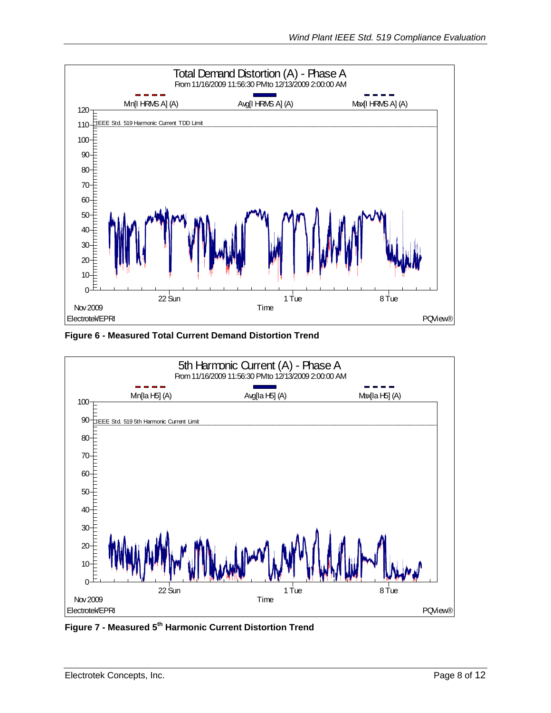

**Figure 6 - Measured Total Current Demand Distortion Trend** 



**Figure 7 - Measured 5th Harmonic Current Distortion Trend**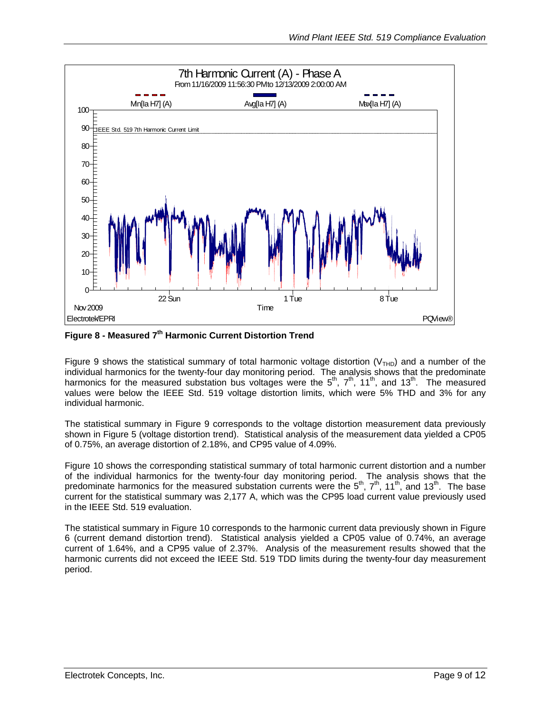

**Figure 8 - Measured 7th Harmonic Current Distortion Trend**

Figure 9 shows the statistical summary of total harmonic voltage distortion ( $V<sub>THD</sub>$ ) and a number of the individual harmonics for the twenty-four day monitoring period. The analysis shows that the predominate harmonics for the measured substation bus voltages were the  $5<sup>th</sup>$ ,  $7<sup>th</sup>$ , 11<sup>th</sup>, and 13<sup>th</sup>. The measured values were below the IEEE Std. 519 voltage distortion limits, which were 5% THD and 3% for any individual harmonic.

The statistical summary in Figure 9 corresponds to the voltage distortion measurement data previously shown in Figure 5 (voltage distortion trend). Statistical analysis of the measurement data yielded a CP05 of 0.75%, an average distortion of 2.18%, and CP95 value of 4.09%.

Figure 10 shows the corresponding statistical summary of total harmonic current distortion and a number of the individual harmonics for the twenty-four day monitoring period. The analysis shows that the predominate harmonics for the measured substation currents were the  $5<sup>th</sup>$ ,  $7<sup>th</sup>$ , 11<sup>th</sup>, and 13<sup>th</sup>. The base current for the statistical summary was 2,177 A, which was the CP95 load current value previously used in the IEEE Std. 519 evaluation.

The statistical summary in Figure 10 corresponds to the harmonic current data previously shown in Figure 6 (current demand distortion trend). Statistical analysis yielded a CP05 value of 0.74%, an average current of 1.64%, and a CP95 value of 2.37%. Analysis of the measurement results showed that the harmonic currents did not exceed the IEEE Std. 519 TDD limits during the twenty-four day measurement period.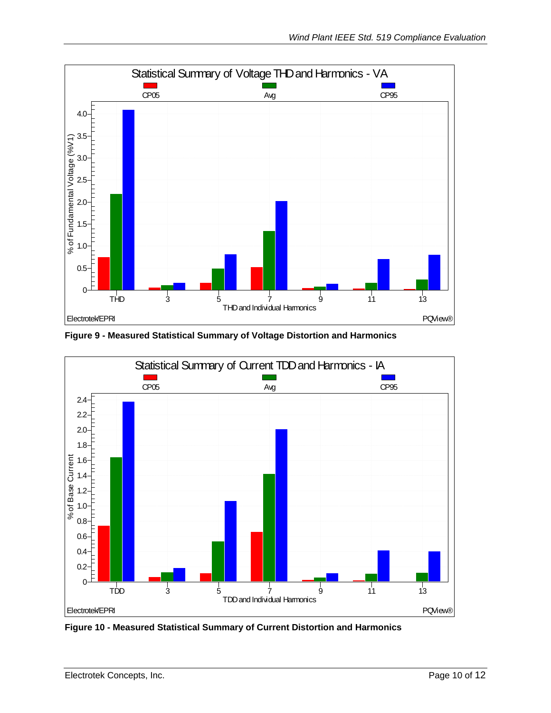

**Figure 9 - Measured Statistical Summary of Voltage Distortion and Harmonics**



**Figure 10 - Measured Statistical Summary of Current Distortion and Harmonics**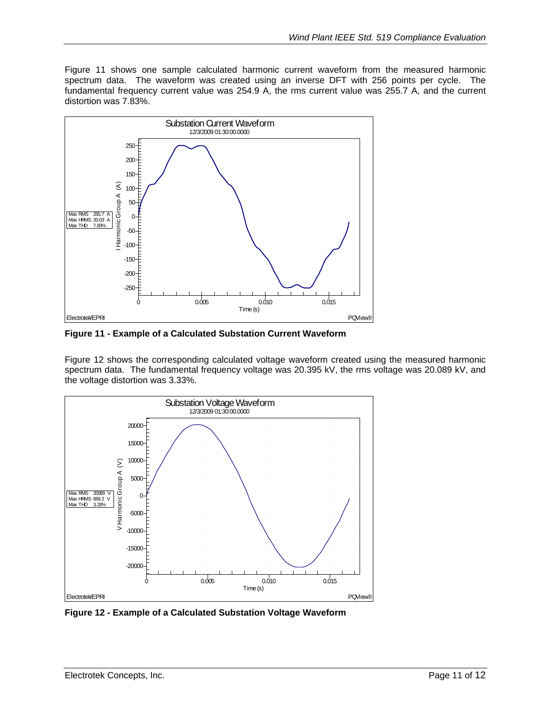Figure 11 shows one sample calculated harmonic current waveform from the measured harmonic spectrum data. The waveform was created using an inverse DFT with 256 points per cycle. The fundamental frequency current value was 254.9 A, the rms current value was 255.7 A, and the current distortion was 7.83%.



**Figure 11 - Example of a Calculated Substation Current Waveform**

Figure 12 shows the corresponding calculated voltage waveform created using the measured harmonic spectrum data. The fundamental frequency voltage was 20.395 kV, the rms voltage was 20.089 kV, and the voltage distortion was 3.33%.



**Figure 12 - Example of a Calculated Substation Voltage Waveform**